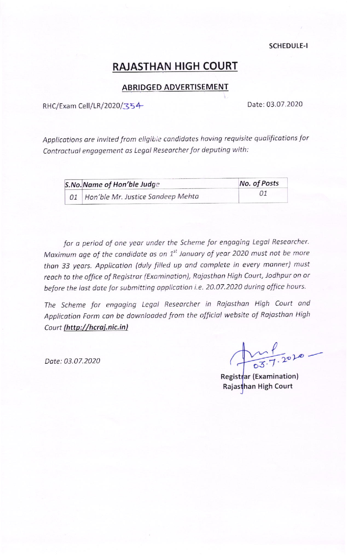**SCHEDULE-I** 

# **RAJASTHAN HIGH COURT**

# **ABRIDGED ADVERTISEMENT**

RHC/Exam Cell/LR/2020/354

Date: 03.07.2020

Applications are invited from eligible candidates having requisite qualifications for Contractual engagement as Legal Researcher for deputing with:

| <b>S.No. Name of Hon'ble Judge</b>   | No. of Posts |  |
|--------------------------------------|--------------|--|
| 01 Hon'ble Mr. Justice Sandeep Mehta | 01           |  |

for a period of one year under the Scheme for engaging Legal Researcher. Maximum age of the candidate as on 1<sup>st</sup> January of year 2020 must not be more than 33 years. Application (duly filled up and complete in every manner) must reach to the office of Registrar (Examination), Rajasthan High Court, Jodhpur on or before the last date for submitting application i.e. 20.07.2020 during office hours.

The Scheme for engaging Legal Researcher in Rajasthan High Court and Application Form can be downloaded from the official website of Rajasthan High Court (http://hcraj.nic.in)

Date: 03.07.2020

 $\frac{1}{27.7.2010}$ 

Registrar (Examination) Rajasthan High Court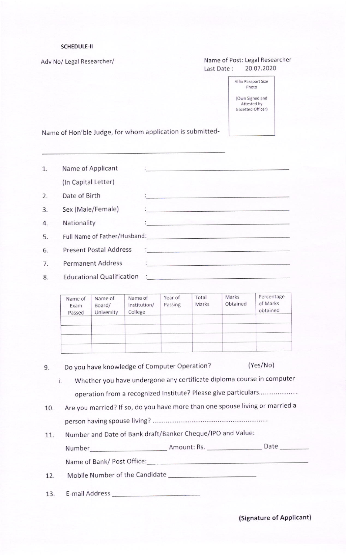#### SCHEDULE-II

Adv No/ Legal Researcher/

### Name of Post: Legal Researcher Last Date: 20.07.2020

| Affix Passport Size |
|---------------------|
| Photo               |
| (Own Signed and     |
| Attested by         |
| Gazetted Officer)   |

Name of Hon'ble Judge, for whom application is submitted-

| 1. | Name of Applicant             | 19 - Andrej Stein, Amerikaansk konstantinopleringen                                                              |
|----|-------------------------------|------------------------------------------------------------------------------------------------------------------|
|    | (In Capital Letter)           |                                                                                                                  |
| 2. | Date of Birth                 | a Listence here is a community for the same                                                                      |
| 3. | Sex (Male/Female)             | <u> 1. januar - Januar Samuel, mendan mengang mengang</u>                                                        |
| 4. | Nationality                   | the street of the transfer and the state                                                                         |
| 5. |                               | Full Name of Father/Husband: Manual Annual Annual Annual Annual Annual Annual Annual Annual Annual Annual Annu   |
| 6. | <b>Present Postal Address</b> | the state and proposed to the proposed and a                                                                     |
| 7. | <b>Permanent Address</b>      | en al sul segundo de la construcción de la construcción de la construcción de la construcción de la construcción |
| 8. |                               |                                                                                                                  |

| Name of<br>Exam<br>Passed | Name of<br>Board/<br>University | Name of<br>Institution/<br>College | Year of<br>Passing | Total<br>Marks | Marks<br>Obtained | Percentage<br>of Marks<br>obtained |
|---------------------------|---------------------------------|------------------------------------|--------------------|----------------|-------------------|------------------------------------|
|                           |                                 |                                    |                    |                |                   |                                    |
|                           |                                 |                                    |                    |                |                   |                                    |
|                           |                                 |                                    |                    |                |                   |                                    |
|                           |                                 |                                    |                    |                |                   |                                    |

- Do you have knowledge of Computer Operation? (Yes/No) 9.
	- Whether you have undergone any certificate diploma course in computer operation from a recognized Institute? Please give particulars ..................... t.
- Are you married? lf so, do you have more than one spouse living or married <sup>a</sup> person having spouse livlnS? 10
- 11. Number and Date of Bank draft/Banker Cheque/IPO and Value: Date \_ Number- Amount: Rs. Name of Bank/ Post office:

- 12. Mobile Number of the Candidate \_\_\_\_\_\_\_\_\_\_\_\_
- 13. E-mail Address

(Signature of Applicant)